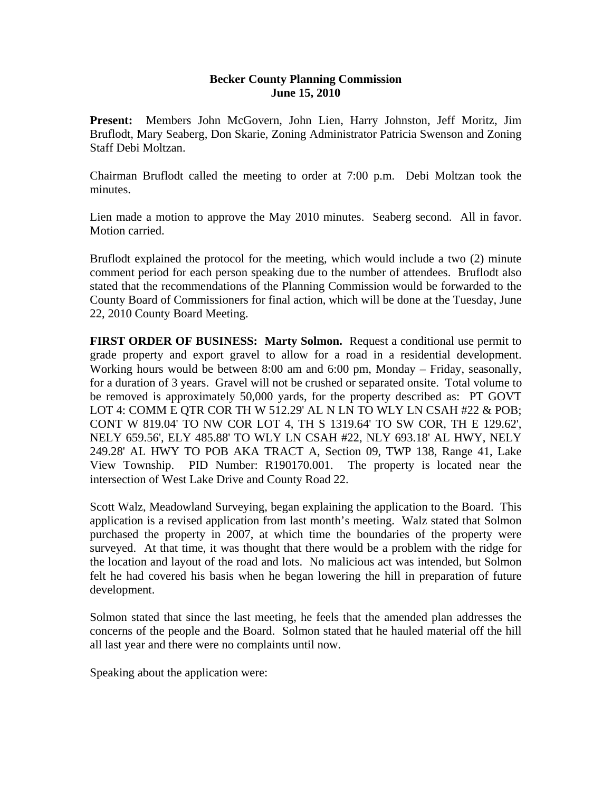## **Becker County Planning Commission June 15, 2010**

**Present:** Members John McGovern, John Lien, Harry Johnston, Jeff Moritz, Jim Bruflodt, Mary Seaberg, Don Skarie, Zoning Administrator Patricia Swenson and Zoning Staff Debi Moltzan.

Chairman Bruflodt called the meeting to order at 7:00 p.m. Debi Moltzan took the minutes.

Lien made a motion to approve the May 2010 minutes. Seaberg second. All in favor. Motion carried.

Bruflodt explained the protocol for the meeting, which would include a two (2) minute comment period for each person speaking due to the number of attendees. Bruflodt also stated that the recommendations of the Planning Commission would be forwarded to the County Board of Commissioners for final action, which will be done at the Tuesday, June 22, 2010 County Board Meeting.

**FIRST ORDER OF BUSINESS: Marty Solmon.** Request a conditional use permit to grade property and export gravel to allow for a road in a residential development. Working hours would be between 8:00 am and 6:00 pm, Monday – Friday, seasonally, for a duration of 3 years. Gravel will not be crushed or separated onsite. Total volume to be removed is approximately 50,000 yards, for the property described as: PT GOVT LOT 4: COMM E QTR COR TH W 512.29' AL N LN TO WLY LN CSAH #22 & POB; CONT W 819.04' TO NW COR LOT 4, TH S 1319.64' TO SW COR, TH E 129.62', NELY 659.56', ELY 485.88' TO WLY LN CSAH #22, NLY 693.18' AL HWY, NELY 249.28' AL HWY TO POB AKA TRACT A, Section 09, TWP 138, Range 41, Lake View Township. PID Number: R190170.001. The property is located near the intersection of West Lake Drive and County Road 22.

Scott Walz, Meadowland Surveying, began explaining the application to the Board. This application is a revised application from last month's meeting. Walz stated that Solmon purchased the property in 2007, at which time the boundaries of the property were surveyed. At that time, it was thought that there would be a problem with the ridge for the location and layout of the road and lots. No malicious act was intended, but Solmon felt he had covered his basis when he began lowering the hill in preparation of future development.

Solmon stated that since the last meeting, he feels that the amended plan addresses the concerns of the people and the Board. Solmon stated that he hauled material off the hill all last year and there were no complaints until now.

Speaking about the application were: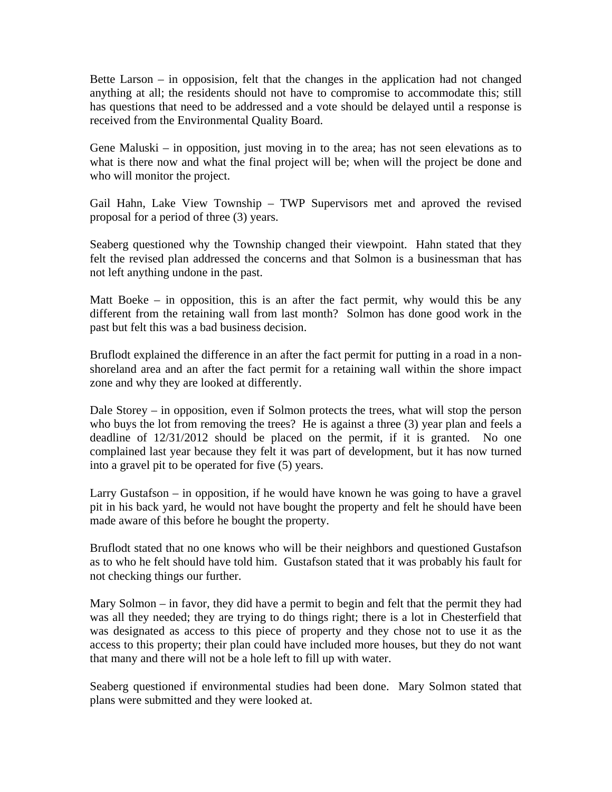Bette Larson – in opposision, felt that the changes in the application had not changed anything at all; the residents should not have to compromise to accommodate this; still has questions that need to be addressed and a vote should be delayed until a response is received from the Environmental Quality Board.

Gene Maluski – in opposition, just moving in to the area; has not seen elevations as to what is there now and what the final project will be; when will the project be done and who will monitor the project.

Gail Hahn, Lake View Township – TWP Supervisors met and aproved the revised proposal for a period of three (3) years.

Seaberg questioned why the Township changed their viewpoint. Hahn stated that they felt the revised plan addressed the concerns and that Solmon is a businessman that has not left anything undone in the past.

Matt Boeke – in opposition, this is an after the fact permit, why would this be any different from the retaining wall from last month? Solmon has done good work in the past but felt this was a bad business decision.

Bruflodt explained the difference in an after the fact permit for putting in a road in a nonshoreland area and an after the fact permit for a retaining wall within the shore impact zone and why they are looked at differently.

Dale Storey – in opposition, even if Solmon protects the trees, what will stop the person who buys the lot from removing the trees? He is against a three (3) year plan and feels a deadline of 12/31/2012 should be placed on the permit, if it is granted. No one complained last year because they felt it was part of development, but it has now turned into a gravel pit to be operated for five (5) years.

Larry Gustafson – in opposition, if he would have known he was going to have a gravel pit in his back yard, he would not have bought the property and felt he should have been made aware of this before he bought the property.

Bruflodt stated that no one knows who will be their neighbors and questioned Gustafson as to who he felt should have told him. Gustafson stated that it was probably his fault for not checking things our further.

Mary Solmon – in favor, they did have a permit to begin and felt that the permit they had was all they needed; they are trying to do things right; there is a lot in Chesterfield that was designated as access to this piece of property and they chose not to use it as the access to this property; their plan could have included more houses, but they do not want that many and there will not be a hole left to fill up with water.

Seaberg questioned if environmental studies had been done. Mary Solmon stated that plans were submitted and they were looked at.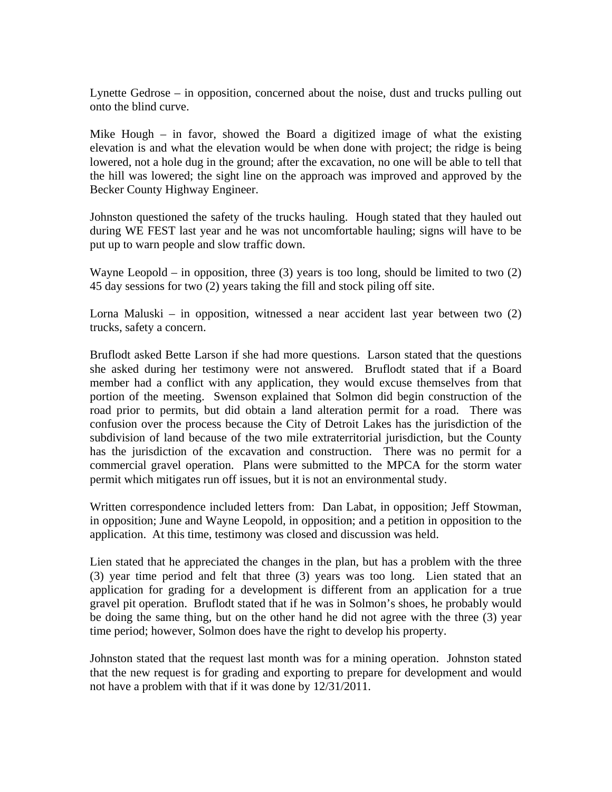Lynette Gedrose – in opposition, concerned about the noise, dust and trucks pulling out onto the blind curve.

Mike Hough – in favor, showed the Board a digitized image of what the existing elevation is and what the elevation would be when done with project; the ridge is being lowered, not a hole dug in the ground; after the excavation, no one will be able to tell that the hill was lowered; the sight line on the approach was improved and approved by the Becker County Highway Engineer.

Johnston questioned the safety of the trucks hauling. Hough stated that they hauled out during WE FEST last year and he was not uncomfortable hauling; signs will have to be put up to warn people and slow traffic down.

Wayne Leopold – in opposition, three  $(3)$  years is too long, should be limited to two  $(2)$ 45 day sessions for two (2) years taking the fill and stock piling off site.

Lorna Maluski – in opposition, witnessed a near accident last year between two (2) trucks, safety a concern.

Bruflodt asked Bette Larson if she had more questions. Larson stated that the questions she asked during her testimony were not answered. Bruflodt stated that if a Board member had a conflict with any application, they would excuse themselves from that portion of the meeting. Swenson explained that Solmon did begin construction of the road prior to permits, but did obtain a land alteration permit for a road. There was confusion over the process because the City of Detroit Lakes has the jurisdiction of the subdivision of land because of the two mile extraterritorial jurisdiction, but the County has the jurisdiction of the excavation and construction. There was no permit for a commercial gravel operation. Plans were submitted to the MPCA for the storm water permit which mitigates run off issues, but it is not an environmental study.

Written correspondence included letters from: Dan Labat, in opposition; Jeff Stowman, in opposition; June and Wayne Leopold, in opposition; and a petition in opposition to the application. At this time, testimony was closed and discussion was held.

Lien stated that he appreciated the changes in the plan, but has a problem with the three (3) year time period and felt that three (3) years was too long. Lien stated that an application for grading for a development is different from an application for a true gravel pit operation. Bruflodt stated that if he was in Solmon's shoes, he probably would be doing the same thing, but on the other hand he did not agree with the three (3) year time period; however, Solmon does have the right to develop his property.

Johnston stated that the request last month was for a mining operation. Johnston stated that the new request is for grading and exporting to prepare for development and would not have a problem with that if it was done by 12/31/2011.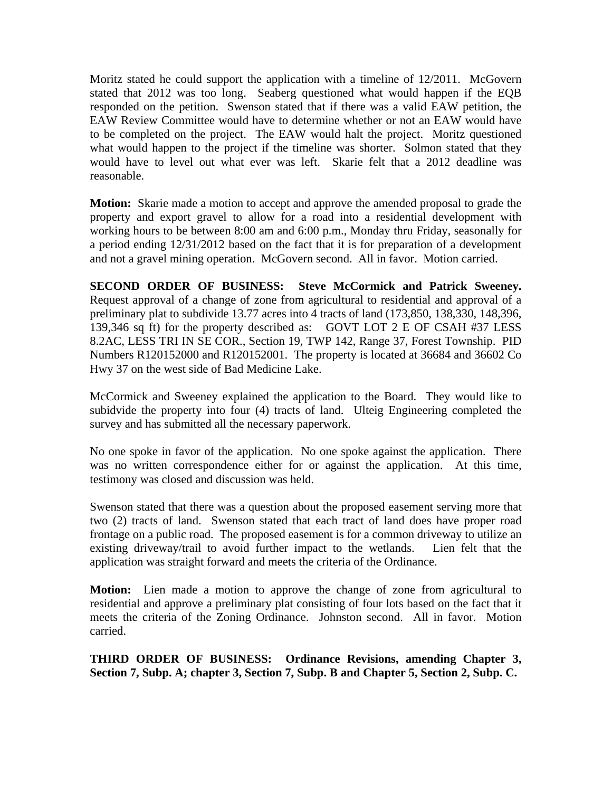Moritz stated he could support the application with a timeline of 12/2011. McGovern stated that 2012 was too long. Seaberg questioned what would happen if the EQB responded on the petition. Swenson stated that if there was a valid EAW petition, the EAW Review Committee would have to determine whether or not an EAW would have to be completed on the project. The EAW would halt the project. Moritz questioned what would happen to the project if the timeline was shorter. Solmon stated that they would have to level out what ever was left. Skarie felt that a 2012 deadline was reasonable.

**Motion:** Skarie made a motion to accept and approve the amended proposal to grade the property and export gravel to allow for a road into a residential development with working hours to be between 8:00 am and 6:00 p.m., Monday thru Friday, seasonally for a period ending 12/31/2012 based on the fact that it is for preparation of a development and not a gravel mining operation. McGovern second. All in favor. Motion carried.

**SECOND ORDER OF BUSINESS: Steve McCormick and Patrick Sweeney.** Request approval of a change of zone from agricultural to residential and approval of a preliminary plat to subdivide 13.77 acres into 4 tracts of land (173,850, 138,330, 148,396, 139,346 sq ft) for the property described as: GOVT LOT 2 E OF CSAH #37 LESS 8.2AC, LESS TRI IN SE COR., Section 19, TWP 142, Range 37, Forest Township. PID Numbers R120152000 and R120152001. The property is located at 36684 and 36602 Co Hwy 37 on the west side of Bad Medicine Lake.

McCormick and Sweeney explained the application to the Board. They would like to subidvide the property into four (4) tracts of land. Ulteig Engineering completed the survey and has submitted all the necessary paperwork.

No one spoke in favor of the application. No one spoke against the application. There was no written correspondence either for or against the application. At this time, testimony was closed and discussion was held.

Swenson stated that there was a question about the proposed easement serving more that two (2) tracts of land. Swenson stated that each tract of land does have proper road frontage on a public road. The proposed easement is for a common driveway to utilize an existing driveway/trail to avoid further impact to the wetlands. Lien felt that the application was straight forward and meets the criteria of the Ordinance.

**Motion:** Lien made a motion to approve the change of zone from agricultural to residential and approve a preliminary plat consisting of four lots based on the fact that it meets the criteria of the Zoning Ordinance. Johnston second. All in favor. Motion carried.

**THIRD ORDER OF BUSINESS: Ordinance Revisions, amending Chapter 3, Section 7, Subp. A; chapter 3, Section 7, Subp. B and Chapter 5, Section 2, Subp. C.**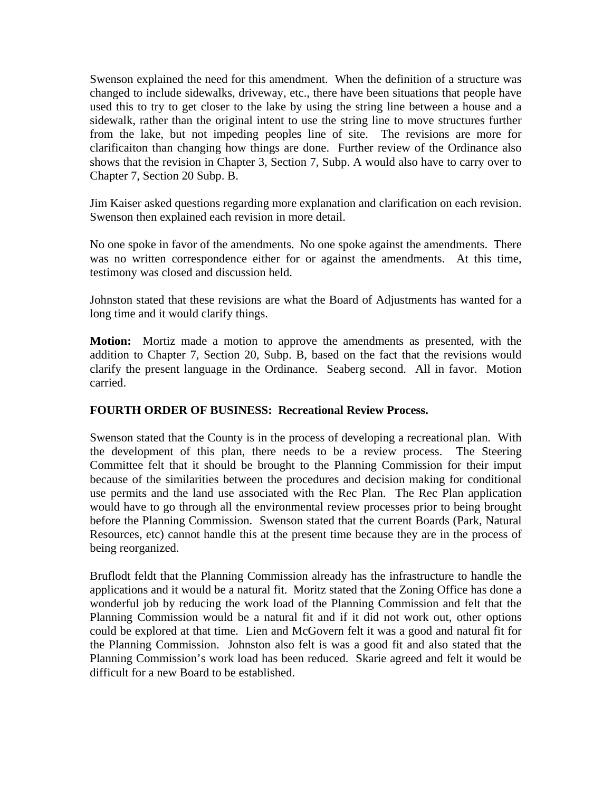Swenson explained the need for this amendment. When the definition of a structure was changed to include sidewalks, driveway, etc., there have been situations that people have used this to try to get closer to the lake by using the string line between a house and a sidewalk, rather than the original intent to use the string line to move structures further from the lake, but not impeding peoples line of site. The revisions are more for clarificaiton than changing how things are done. Further review of the Ordinance also shows that the revision in Chapter 3, Section 7, Subp. A would also have to carry over to Chapter 7, Section 20 Subp. B.

Jim Kaiser asked questions regarding more explanation and clarification on each revision. Swenson then explained each revision in more detail.

No one spoke in favor of the amendments. No one spoke against the amendments. There was no written correspondence either for or against the amendments. At this time, testimony was closed and discussion held.

Johnston stated that these revisions are what the Board of Adjustments has wanted for a long time and it would clarify things.

**Motion:** Mortiz made a motion to approve the amendments as presented, with the addition to Chapter 7, Section 20, Subp. B, based on the fact that the revisions would clarify the present language in the Ordinance. Seaberg second. All in favor. Motion carried.

## **FOURTH ORDER OF BUSINESS: Recreational Review Process.**

Swenson stated that the County is in the process of developing a recreational plan. With the development of this plan, there needs to be a review process. The Steering Committee felt that it should be brought to the Planning Commission for their imput because of the similarities between the procedures and decision making for conditional use permits and the land use associated with the Rec Plan. The Rec Plan application would have to go through all the environmental review processes prior to being brought before the Planning Commission. Swenson stated that the current Boards (Park, Natural Resources, etc) cannot handle this at the present time because they are in the process of being reorganized.

Bruflodt feldt that the Planning Commission already has the infrastructure to handle the applications and it would be a natural fit. Moritz stated that the Zoning Office has done a wonderful job by reducing the work load of the Planning Commission and felt that the Planning Commission would be a natural fit and if it did not work out, other options could be explored at that time. Lien and McGovern felt it was a good and natural fit for the Planning Commission. Johnston also felt is was a good fit and also stated that the Planning Commission's work load has been reduced. Skarie agreed and felt it would be difficult for a new Board to be established.